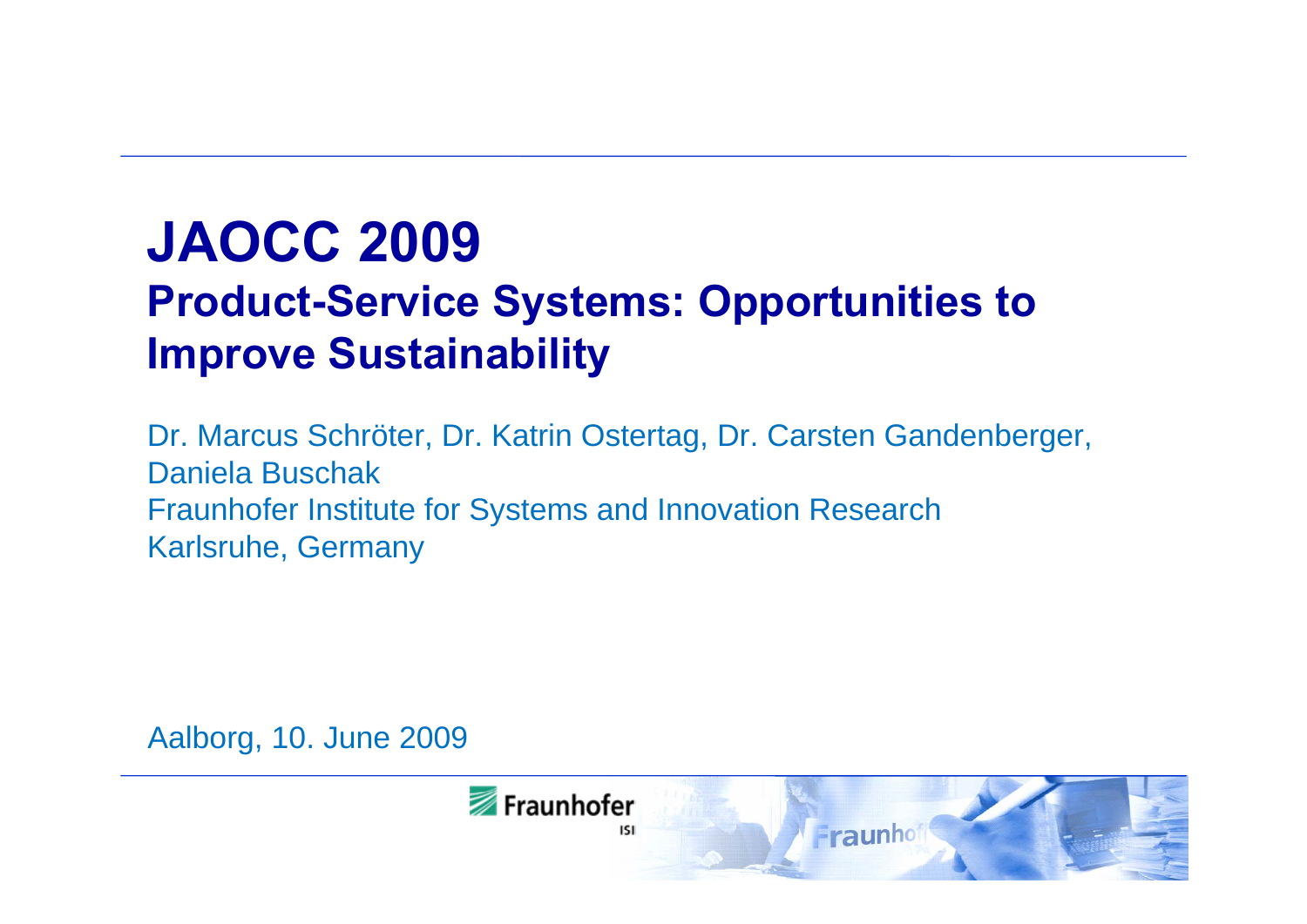# **JAOCC 2009**

# **Product-Service Systems: Opportunities to Improve Sustainability**

Dr. Marcus Schröter, Dr. Katrin Ostertag, Dr. Carsten Gandenberger, Daniela Buschak Fraunhofer Institute for Systems and Innovation Research Karlsruhe, Germany

Aalborg, 10. June 2009

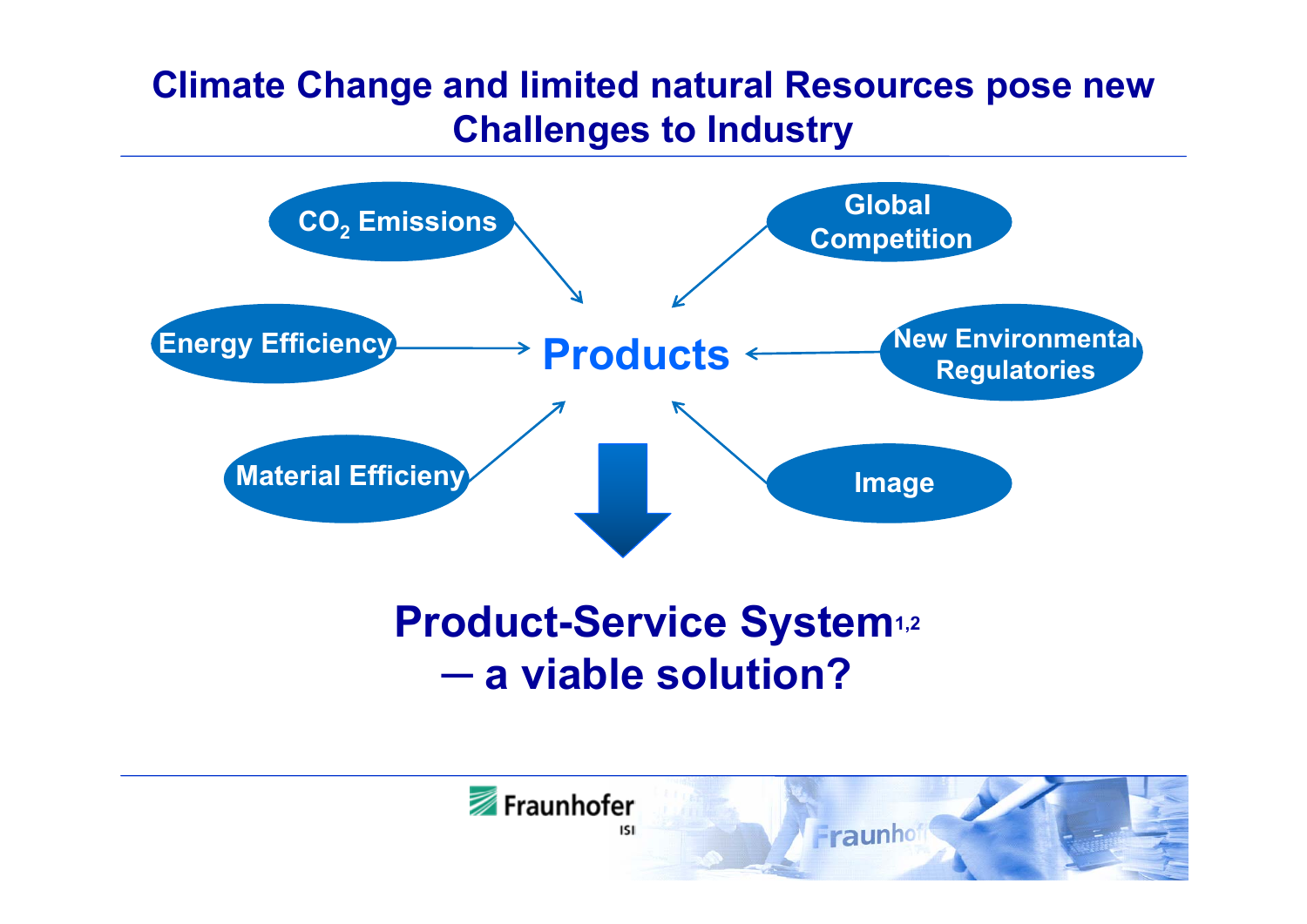### **Climate Change and limited natural Resources pose new Challenges to Industry**



#### **Product-Service System1,2 ─a viable solution?**

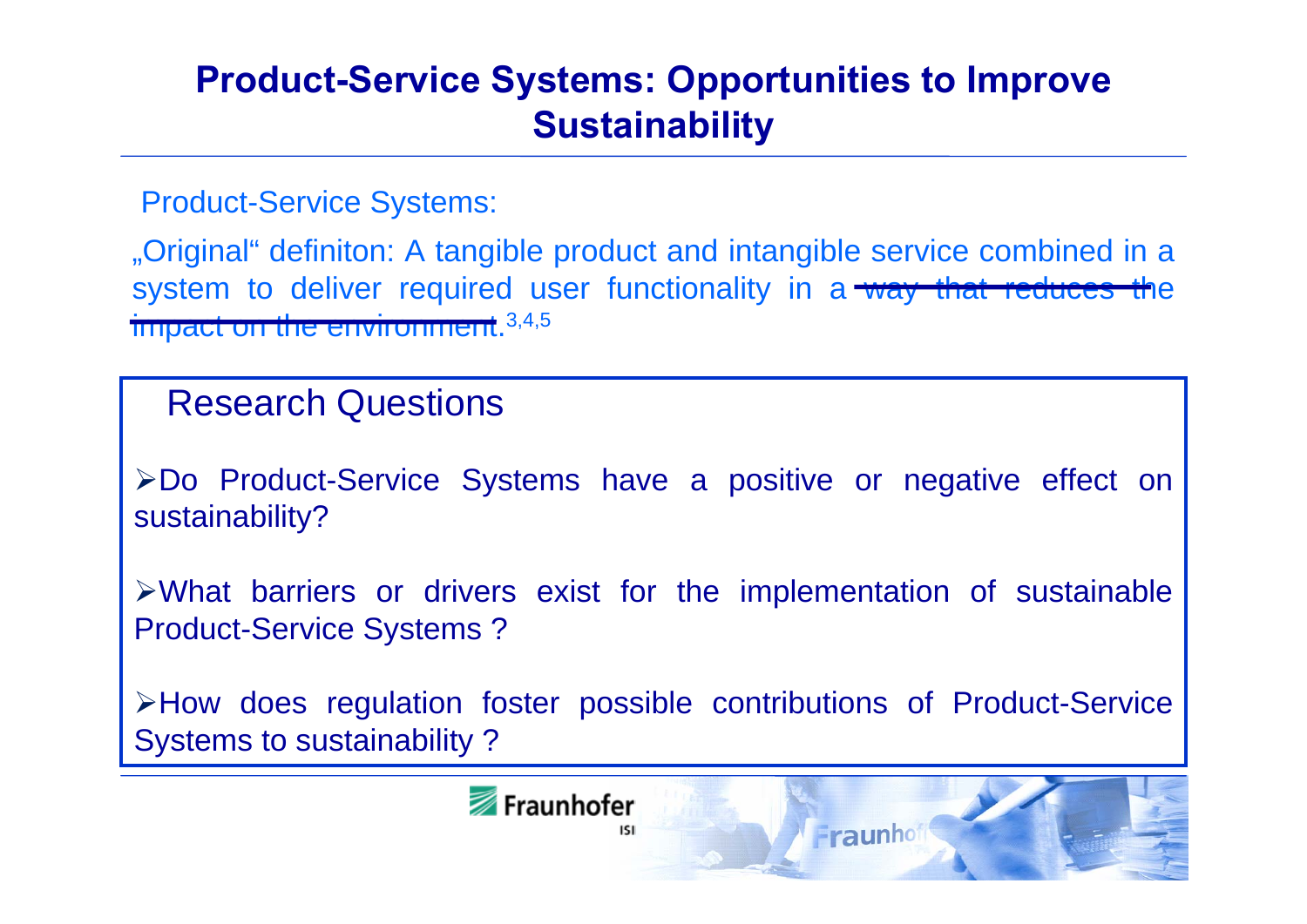### **Product-Service Systems: Opportunities to Improve Sustainability**

Product-Service Systems:

"Original" definiton: A tangible product and intangible service combined in a system to deliver required user functionality in a way that reduces the impact on the environment.<sup>3,4,5</sup>

### Research Questions

Do Product-Service Systems have a positive or negative effect on sustainability?

What barriers or drivers exist for the implementation of sustainable Product-Service Systems ?

How does regulation foster possible contributions of Product-Service Systems to sustainability ?

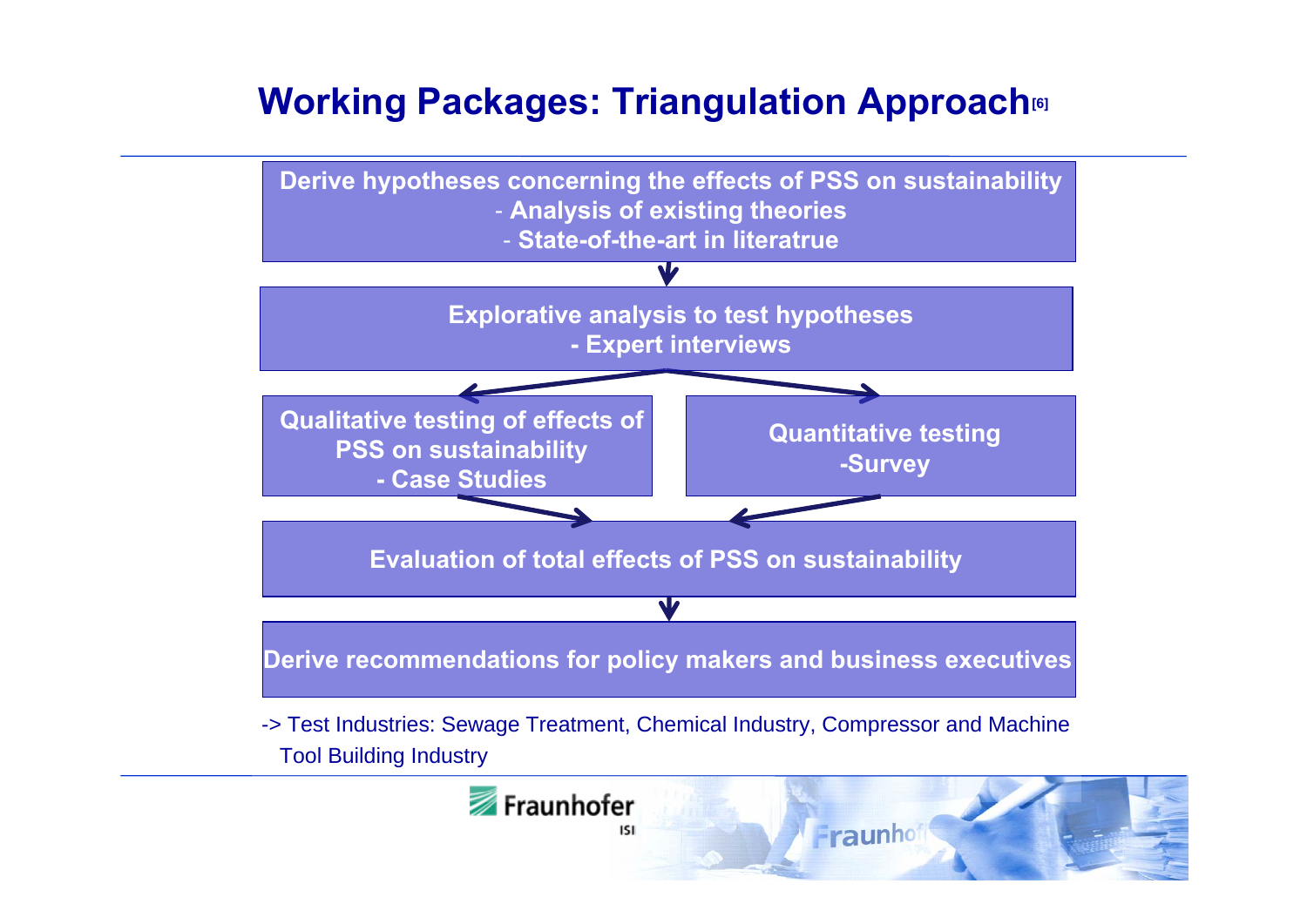### **Working Packages: Triangulation Approach[6]**

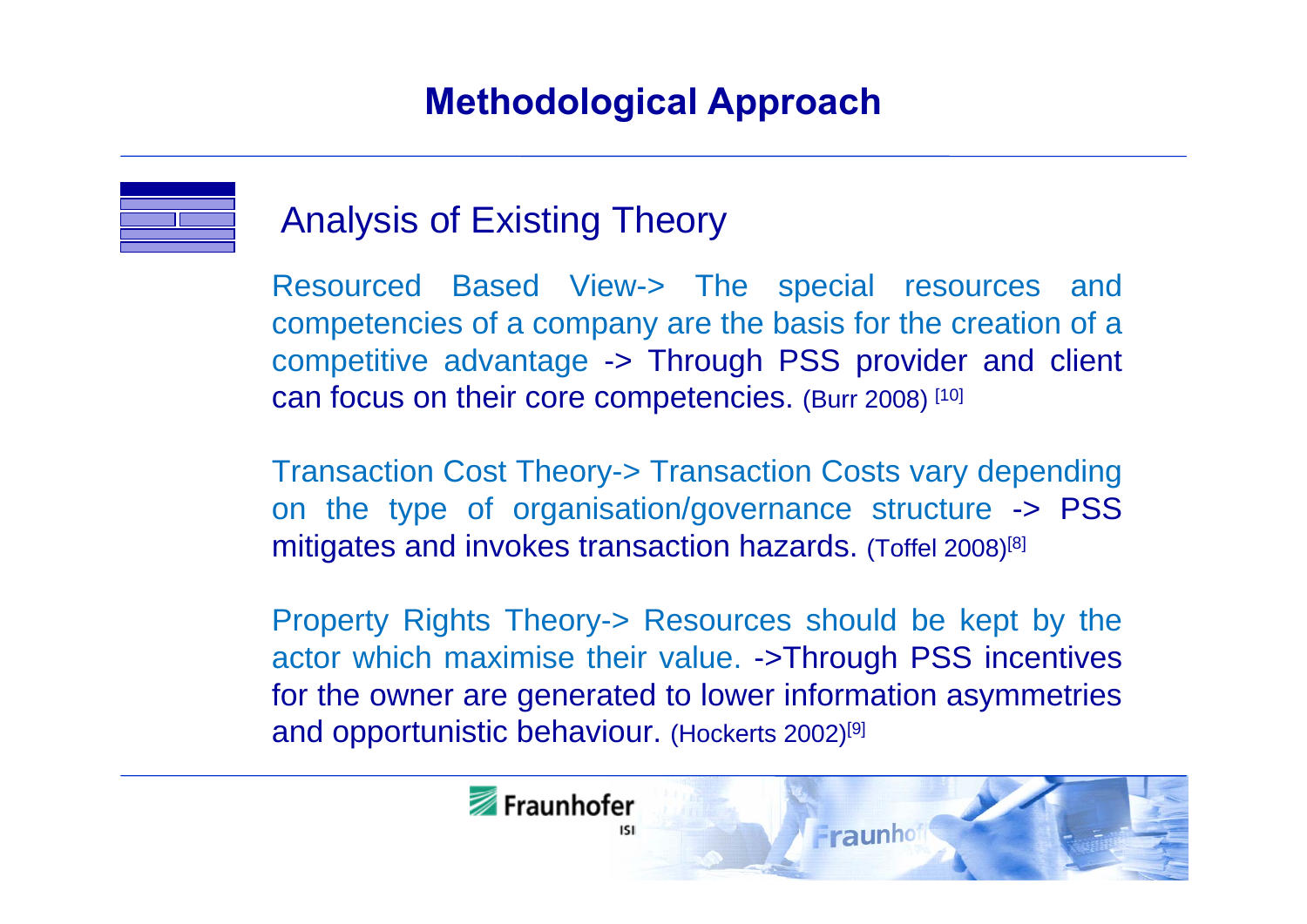![](_page_4_Figure_1.jpeg)

### Analysis of Existing Theory

Resourced Based View-> The special resources and competencies of a company are the basis for the creation of a competitive advantage -> Through PSS provider and client can focus on their core competencies. (Burr 2008) [10]

Transaction Cost Theory-> Transaction Costs vary depending on the type of organisation/governance structure -> PSS mitigates and invokes transaction hazards. (Toffel 2008)[8]

Property Rights Theory-> Resources should be kept by the actor which maximise their value. ->Through PSS incentives for the owner are generated to lower information asymmetries and opportunistic behaviour. (Hockerts 2002)[9]

![](_page_4_Picture_6.jpeg)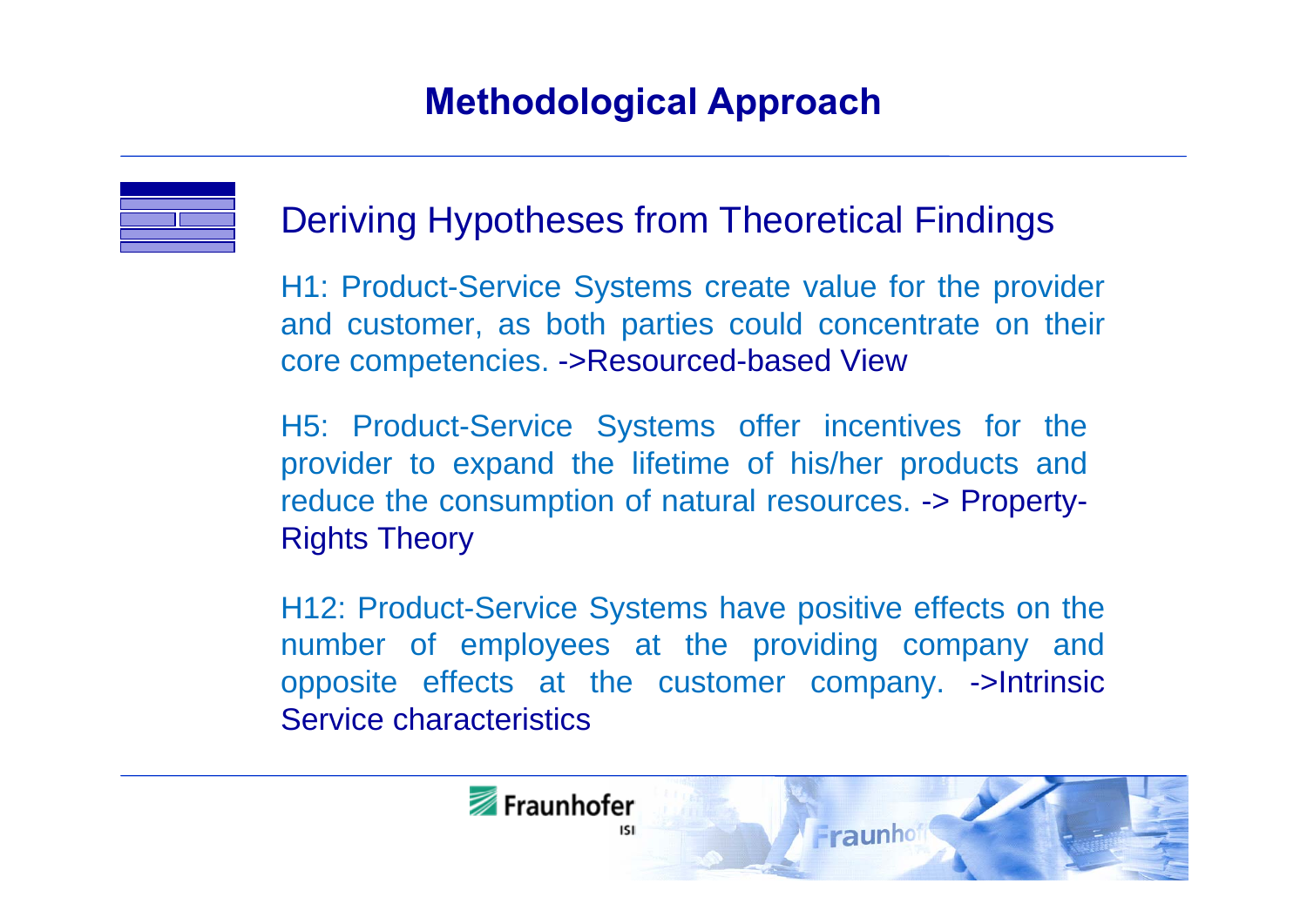![](_page_5_Figure_1.jpeg)

### Deriving Hypotheses from Theoretical Findings

H1: Product-Service Systems create value for the provider and customer, as both parties could concentrate on their core competencies. ->Resourced-based View

H5: Product-Service Systems offer incentives for the provider to expand the lifetime of his/her products and reduce the consumption of natural resources. -> Property-Rights Theory

H12: Product-Service Systems have positive effects on the number of employees at the providing company and opposite effects at the customer company. ->Intrinsic Service characteristics

![](_page_5_Picture_6.jpeg)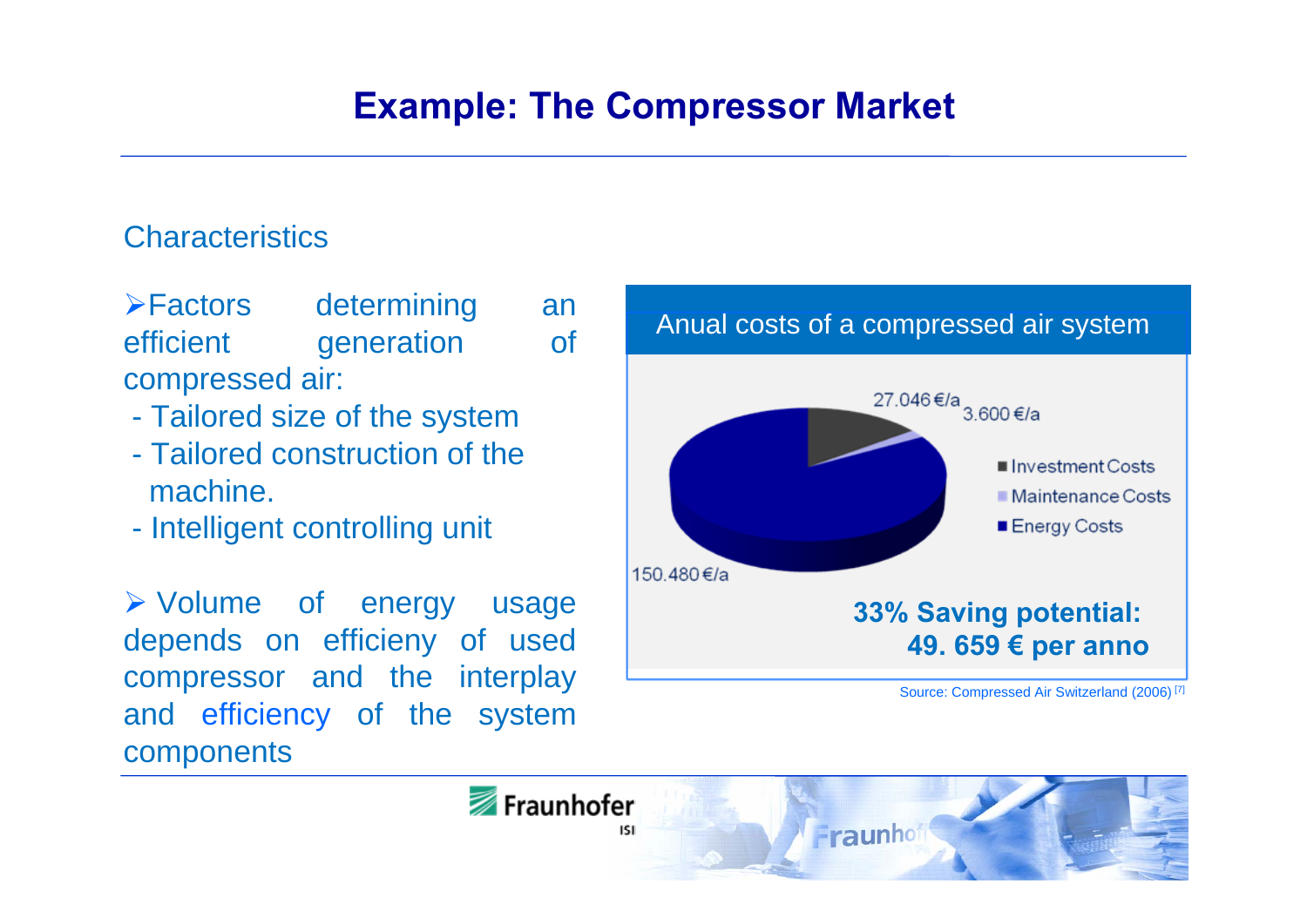#### **Characteristics**

**Execute Factors** determining an efficient generation of compressed air:

- Tailored size of the system
- Tailored construction of themachine.
- Intelligent controlling unit

 Volume of energy usage depends on efficieny of used compressor and the interplay and efficiency of the system components

![](_page_6_Figure_7.jpeg)

Fraunhofer Fraunho isi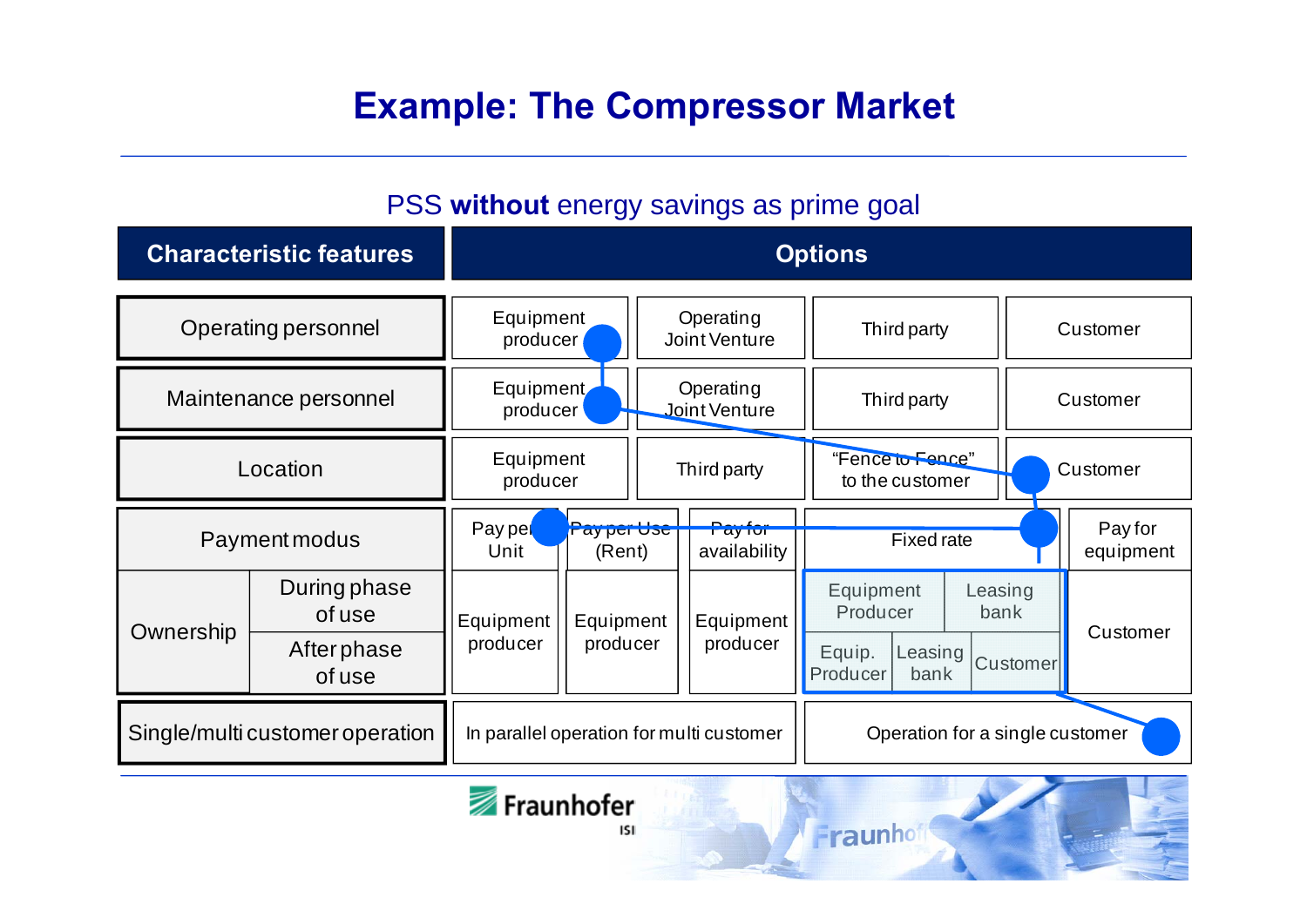### **Example: The Compressor Market**

#### PSS **without** energy savings as prime goal

| <b>Characteristic features</b>  |                        | <b>Options</b>                           |                      |                            |                         |                                       |                 |                      |  |
|---------------------------------|------------------------|------------------------------------------|----------------------|----------------------------|-------------------------|---------------------------------------|-----------------|----------------------|--|
| Operating personnel             |                        | Equipment<br>producer                    |                      | Operating<br>Joint Venture |                         | Third party                           |                 | Customer             |  |
| Maintenance personnel           |                        | Equipment<br>producer                    |                      | Operating<br>Joint Venture |                         | Third party                           |                 | Customer             |  |
| Location                        |                        | Equipment<br>producer                    |                      | Third party                |                         | "Fence to Fence"<br>to the customer   |                 | Customer             |  |
| Payment modus                   |                        | Pay pel<br>Unit                          | Parter Use<br>(Rent) |                            | Pay for<br>availability | <b>Fixed rate</b>                     |                 | Pay for<br>equipment |  |
| Ownership                       | During phase<br>of use | Equipment                                | Equipment            |                            | Equipment               | Equipment<br>Producer                 | Leasing<br>bank | Customer             |  |
|                                 | Afterphase<br>of use   | producer                                 | producer             |                            | producer                | Equip.<br>Leasing<br>Producer<br>bank | Customer        |                      |  |
| Single/multi customer operation |                        | In parallel operation for multi customer |                      |                            |                         | Operation for a single customer       |                 |                      |  |

Fraunhof

![](_page_7_Picture_3.jpeg)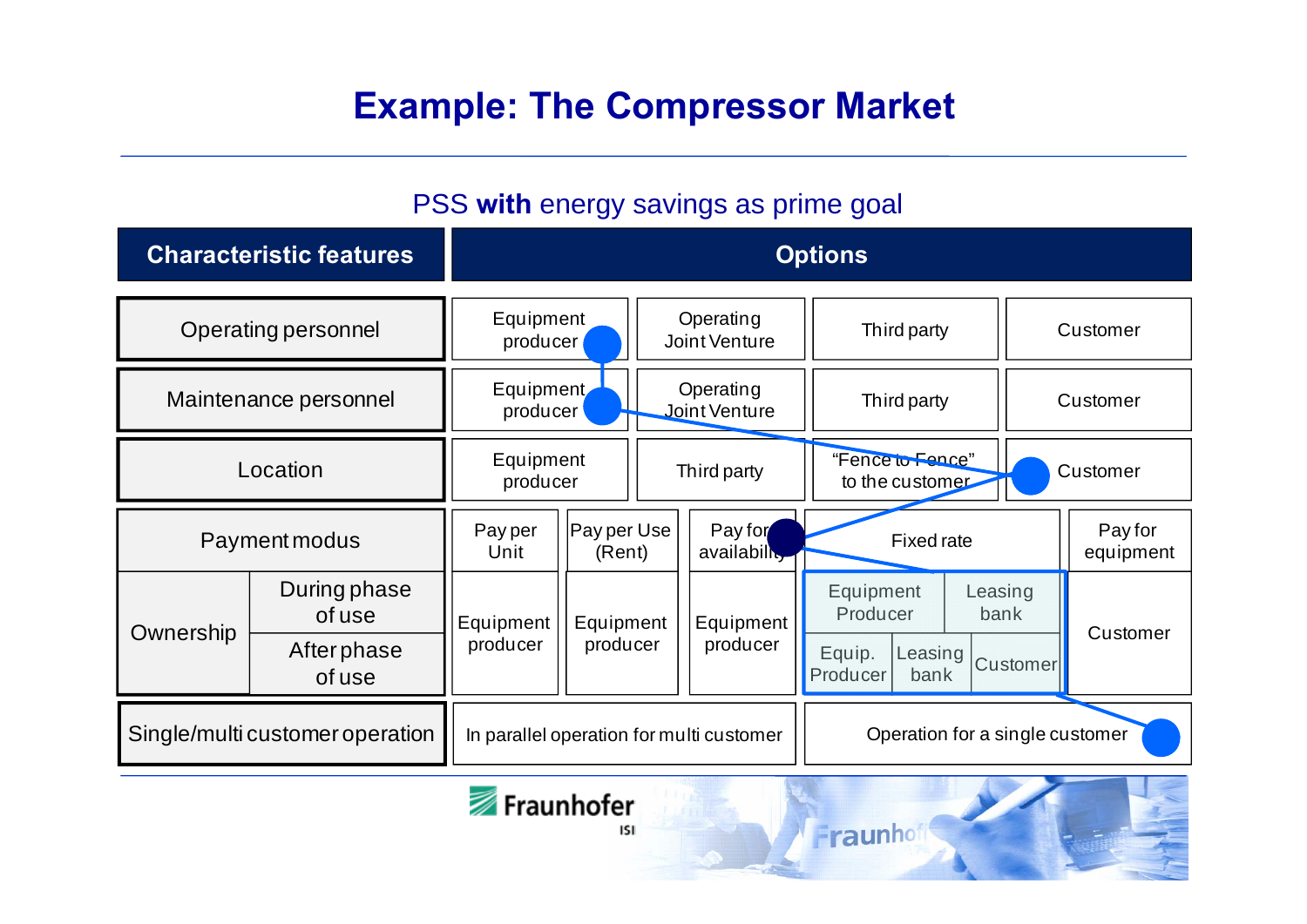### **Example: The Compressor Market**

#### PSS **with** energy savings as prime goal

| <b>Characteristic features</b>  |                        | <b>Options</b>                           |                       |                            |                         |                                          |          |                      |  |
|---------------------------------|------------------------|------------------------------------------|-----------------------|----------------------------|-------------------------|------------------------------------------|----------|----------------------|--|
| Operating personnel             |                        | Equipment<br>producer                    |                       | Operating<br>Joint Venture |                         | Third party                              | Customer |                      |  |
| Maintenance personnel           |                        | Equipment<br>producer                    |                       | Operating<br>Joint Venture |                         | Third party                              |          | Customer             |  |
| Location                        |                        | Equipment<br>producer                    |                       | Third party                |                         | "Fence to Fence"<br>to the customer      |          | Customer             |  |
| Payment modus                   |                        | Pay per<br>Unit                          | Pay per Use<br>(Rent) |                            | Pay for<br>availability | <b>Fixed rate</b>                        |          | Pay for<br>equipment |  |
| Ownership                       | During phase<br>of use | Equipment                                | Equipment             |                            | Equipment               | Equipment<br>Leasing<br>Producer<br>bank |          | Customer             |  |
|                                 | Afterphase<br>of use   | producer                                 | producer              |                            | producer                | Equip.<br>Leasing<br>Producer<br>bank    | Customer |                      |  |
| Single/multi customer operation |                        | In parallel operation for multi customer |                       |                            |                         | Operation for a single customer          |          |                      |  |

Fraunhof

![](_page_8_Picture_3.jpeg)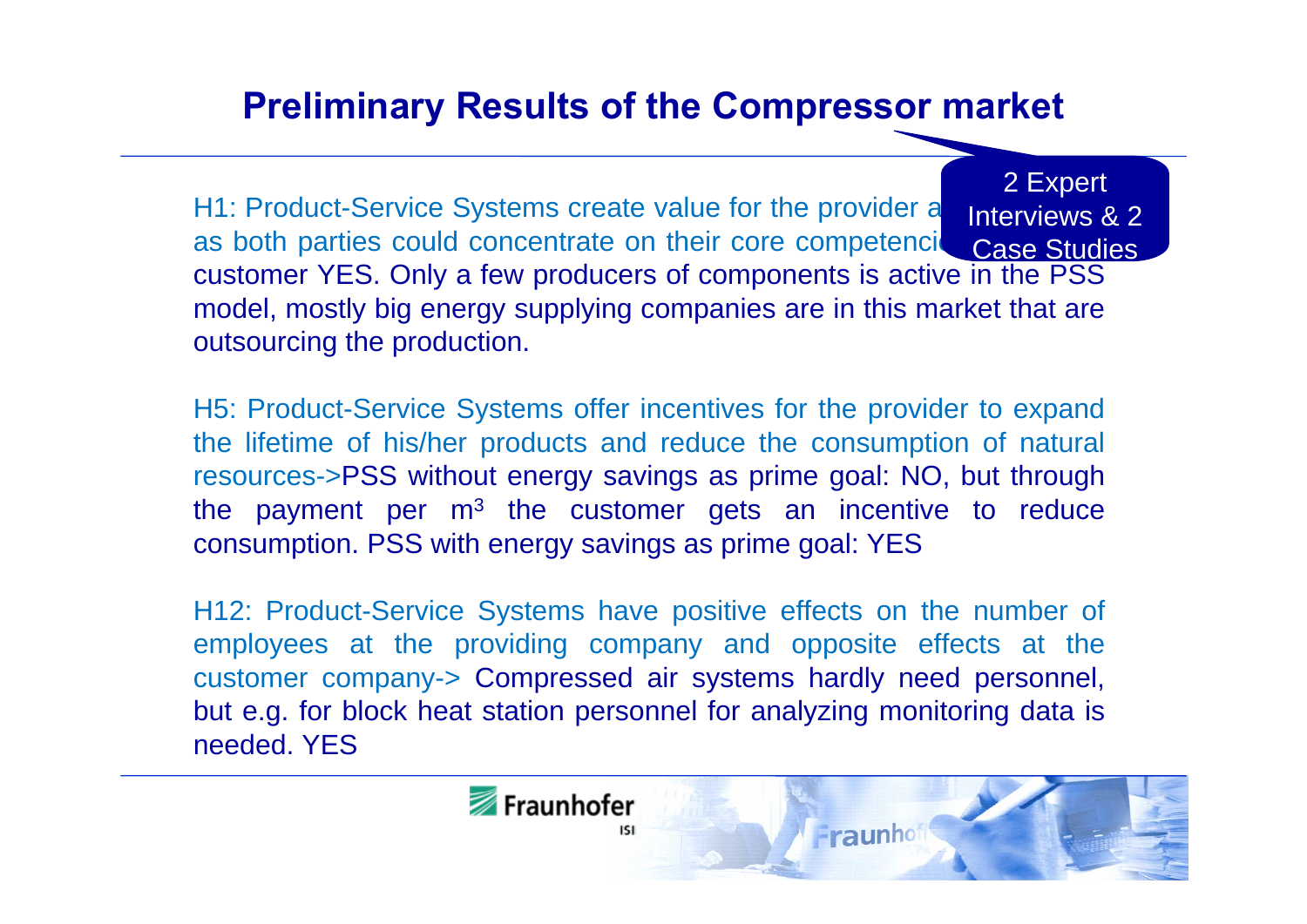### **Preliminary Results of the Compressor market**

H1: Product-Service Systems create value for the provider a as both parties could concentrate on their core competencies customer YES. Only a few producers of components is active in the PSS model, mostly big energy supplying companies are in this market that are outsourcing the production. 2 Expert Interviews & 2 Case Studies

H5: Product-Service Systems offer incentives for the provider to expand the lifetime of his/her products and reduce the consumption of natural resources->PSS without energy savings as prime goal: NO, but through the payment per  $m<sup>3</sup>$  the customer gets an incentive to reduce consumption. PSS with energy savings as prime goal: YES

H12: Product-Service Systems have positive effects on the number of employees at the providing company and opposite effects at the customer company-> Compressed air systems hardly need personnel, but e.g. for block heat station personnel for analyzing monitoring data is needed. YES

![](_page_9_Picture_4.jpeg)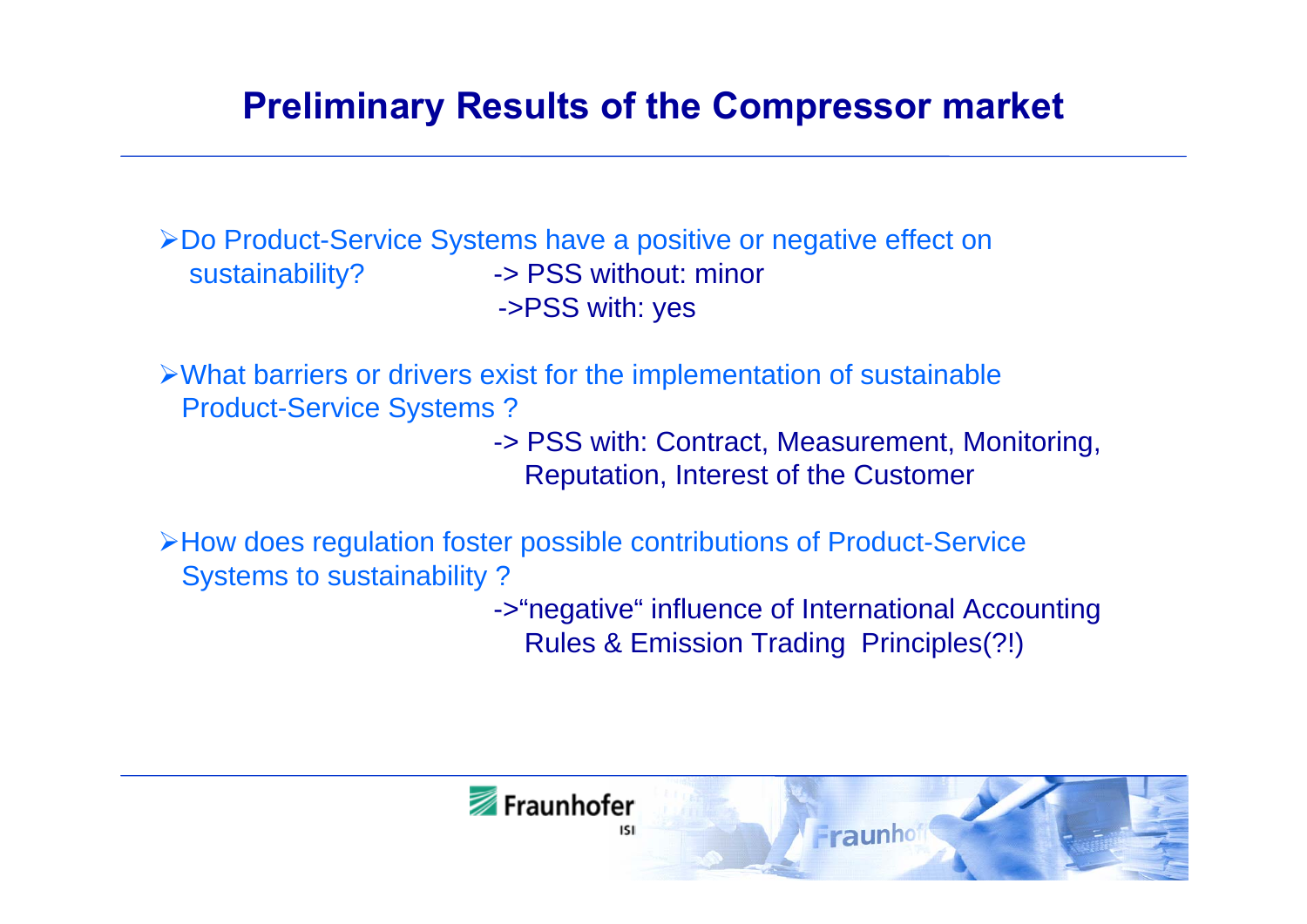### **Preliminary Results of the Compressor market**

Do Product-Service Systems have a positive or negative effect on sustainability? -> PSS without: minor ->PSS with: yes

What barriers or drivers exist for the implementation of sustainable Product-Service Systems ?

> -> PSS with: Contract, Measurement, Monitoring, Reputation, Interest of the Customer

How does regulation foster possible contributions of Product-Service Systems to sustainability ?

> ->"negative" influence of International Accounting Rules & Emission Trading Principles(?!)

![](_page_10_Picture_6.jpeg)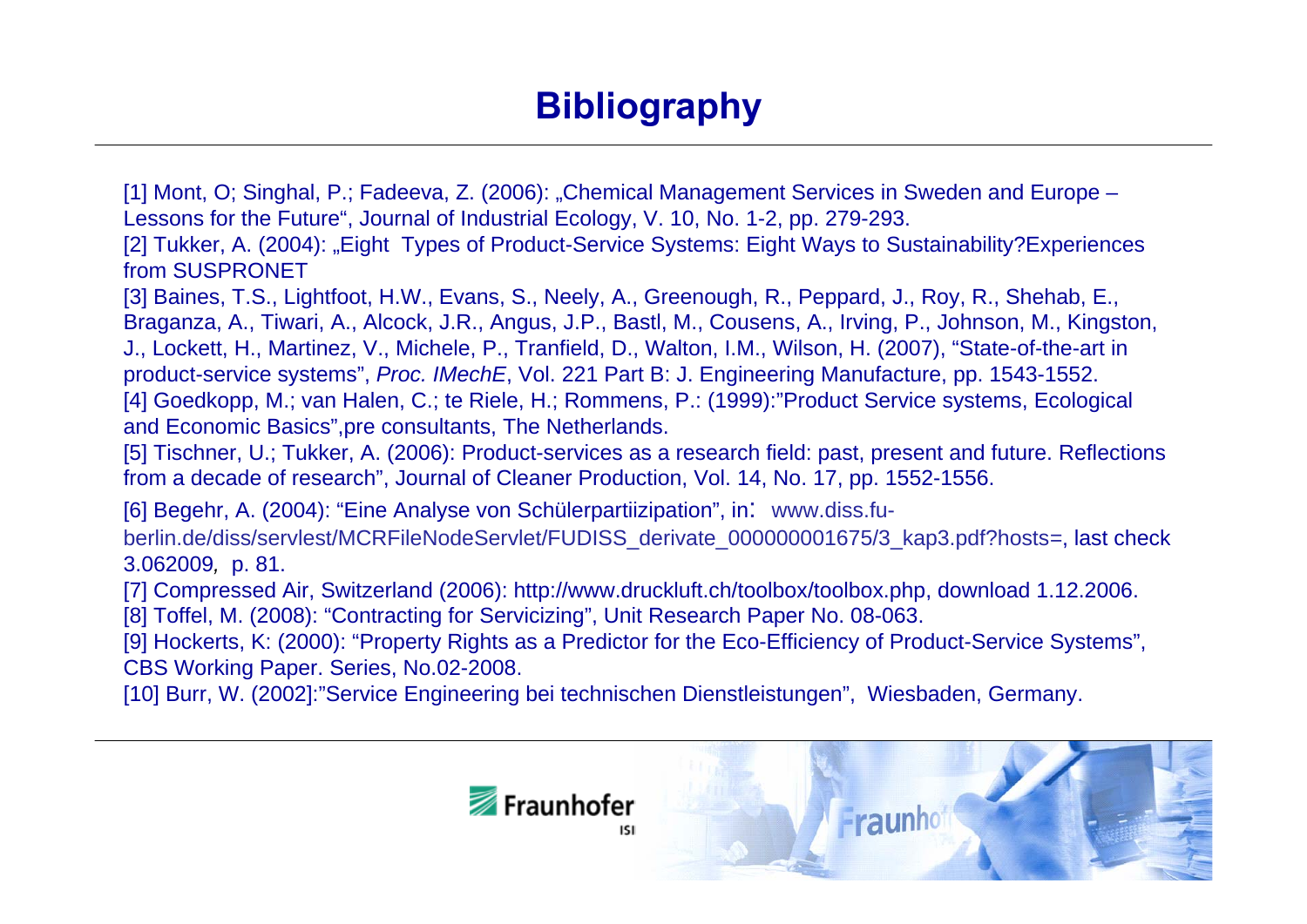### **Bibliography**

[1] Mont, O; Singhal, P.; Fadeeva, Z. (2006): "Chemical Management Services in Sweden and Europe – Lessons for the Future", Journal of Industrial Ecology, V. 10, No. 1-2, pp. 279-293.

[2] Tukker, A. (2004): "Eight Types of Product-Service Systems: Eight Ways to Sustainability? Experiences from SUSPRONET

[3] Baines, T.S., Lightfoot, H.W., Evans, S., Neely, A., Greenough, R., Peppard, J., Roy, R., Shehab, E., Braganza, A., Tiwari, A., Alcock, J.R., Angus, J.P., Bastl, M., Cousens, A., Irving, P., Johnson, M., Kingston, J., Lockett, H., Martinez, V., Michele, P., Tranfield, D., Walton, I.M., Wilson, H. (2007), "State-of-the-art in product-service systems", *Proc. IMechE*, Vol. 221 Part B: J. Engineering Manufacture, pp. 1543-1552. [4] Goedkopp, M.; van Halen, C.; te Riele, H.; Rommens, P.: (1999):"Product Service systems, Ecological and Economic Basics",pre consultants, The Netherlands.

[5] Tischner, U.; Tukker, A. (2006): Product-services as a research field: past, present and future. Reflections from a decade of research", Journal of Cleaner Production, Vol. 14, No. 17, pp. 1552-1556.

[6] Begehr, A. (2004): "Eine Analyse von Schülerpartiizipation", in: www.diss.fuberlin.de/diss/servlest/MCRFileNodeServlet/FUDISS\_derivate\_000000001675/3\_kap3.pdf?hosts*<sup>=</sup>*, last check 3.062009*,* p. 81.

[7] Compressed Air, Switzerland (2006): http://www.druckluft.ch/toolbox/toolbox.php, download 1.12.2006.

[8] Toffel, M. (2008): "Contracting for Servicizing", Unit Research Paper No. 08-063.

[9] Hockerts, K: (2000): "Property Rights as a Predictor for the Eco-Efficiency of Product-Service Systems", CBS Working Paper. Series, No.02-2008.

[10] Burr, W. (2002]:"Service Engineering bei technischen Dienstleistungen", Wiesbaden, Germany.

![](_page_11_Picture_10.jpeg)